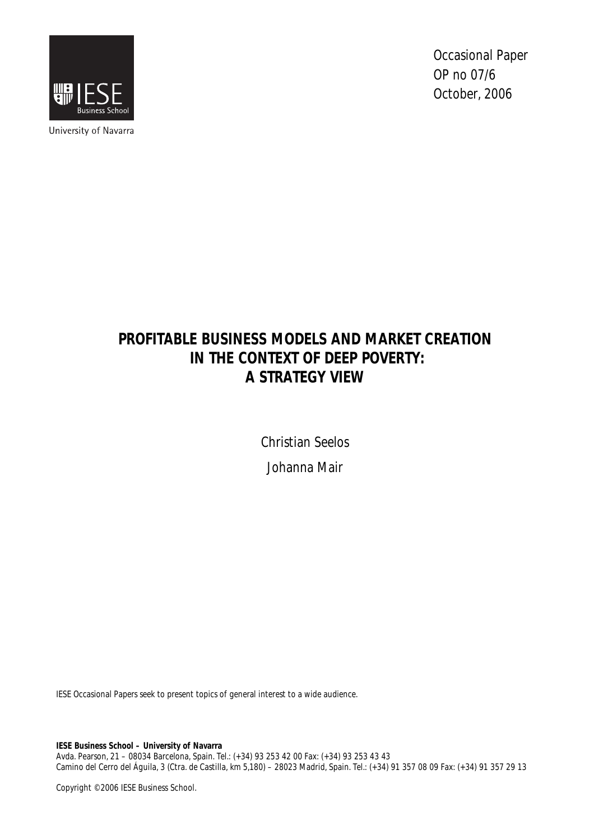

University of Navarra

Occasional Paper OP no 07/6 October, 2006

# **PROFITABLE BUSINESS MODELS AND MARKET CREATION IN THE CONTEXT OF DEEP POVERTY: A STRATEGY VIEW**

Christian Seelos Johanna Mair

IESE Occasional Papers seek to present topics of general interest to a wide audience.

**IESE Business School – University of Navarra** 

Avda. Pearson, 21 – 08034 Barcelona, Spain. Tel.: (+34) 93 253 42 00 Fax: (+34) 93 253 43 43 Camino del Cerro del Águila, 3 (Ctra. de Castilla, km 5,180) – 28023 Madrid, Spain. Tel.: (+34) 91 357 08 09 Fax: (+34) 91 357 29 13

Copyright © 2006 IESE Business School.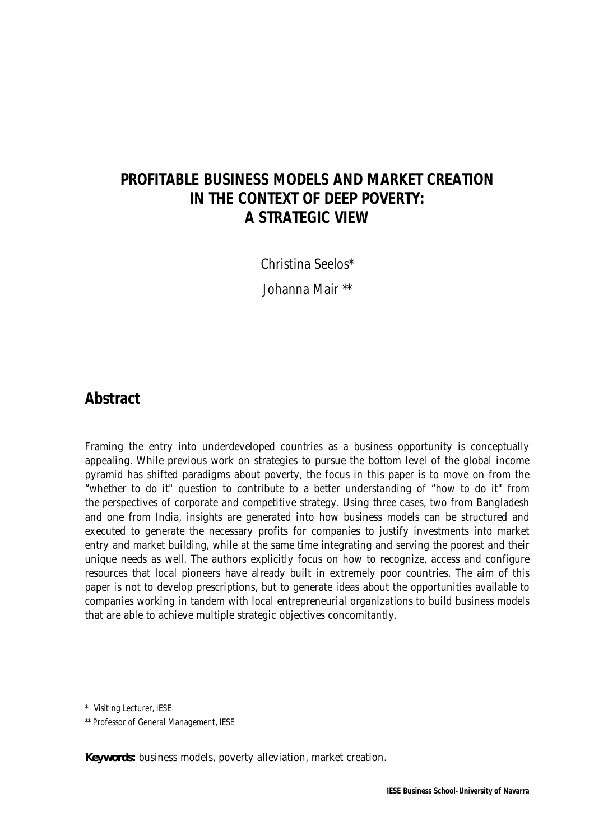# **PROFITABLE BUSINESS MODELS AND MARKET CREATION IN THE CONTEXT OF DEEP POVERTY: A STRATEGIC VIEW**

Christina Seelos\*

Johanna Mair \*\*

### **Abstract**

Framing the entry into underdeveloped countries as a business opportunity is conceptually appealing. While previous work on strategies to pursue the bottom level of the global income pyramid has shifted paradigms about poverty, the focus in this paper is to move on from the "whether to do it" question to contribute to a better understanding of "how to do it" from the perspectives of corporate and competitive strategy. Using three cases, two from Bangladesh and one from India, insights are generated into how business models can be structured and executed to generate the necessary profits for companies to justify investments into market entry and market building, while at the same time integrating and serving the poorest and their unique needs as well. The authors explicitly focus on how to recognize, access and configure resources that local pioneers have already built in extremely poor countries. The aim of this paper is not to develop prescriptions, but to generate ideas about the opportunities available to companies working in tandem with local entrepreneurial organizations to build business models that are able to achieve multiple strategic objectives concomitantly.

\* Visiting Lecturer, IESE

\*\* Professor of General Management, IESE

**Keywords:** business models, poverty alleviation, market creation.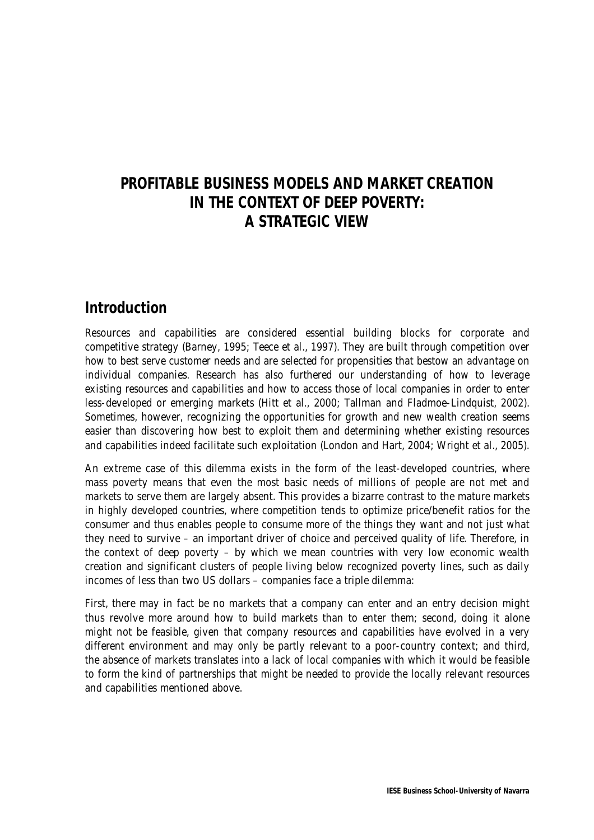# **PROFITABLE BUSINESS MODELS AND MARKET CREATION IN THE CONTEXT OF DEEP POVERTY: A STRATEGIC VIEW**

### **Introduction**

Resources and capabilities are considered essential building blocks for corporate and competitive strategy (Barney, 1995; Teece et al., 1997). They are built through competition over how to best serve customer needs and are selected for propensities that bestow an advantage on individual companies. Research has also furthered our understanding of how to leverage existing resources and capabilities and how to access those of local companies in order to enter less-developed or emerging markets (Hitt et al., 2000; Tallman and Fladmoe-Lindquist, 2002). Sometimes, however, recognizing the opportunities for growth and new wealth creation seems easier than discovering how best to exploit them and determining whether existing resources and capabilities indeed facilitate such exploitation (London and Hart, 2004; Wright et al., 2005).

An extreme case of this dilemma exists in the form of the least-developed countries, where mass poverty means that even the most basic needs of millions of people are not met and markets to serve them are largely absent. This provides a bizarre contrast to the mature markets in highly developed countries, where competition tends to optimize price/benefit ratios for the consumer and thus enables people to consume more of the things they want and not just what they need to survive – an important driver of choice and perceived quality of life. Therefore, in the context of deep poverty – by which we mean countries with very low economic wealth creation and significant clusters of people living below recognized poverty lines, such as daily incomes of less than two US dollars – companies face a triple dilemma:

First, there may in fact be no markets that a company can enter and an entry decision might thus revolve more around how to build markets than to enter them; second, doing it alone might not be feasible, given that company resources and capabilities have evolved in a very different environment and may only be partly relevant to a poor-country context; and third, the absence of markets translates into a lack of local companies with which it would be feasible to form the kind of partnerships that might be needed to provide the locally relevant resources and capabilities mentioned above.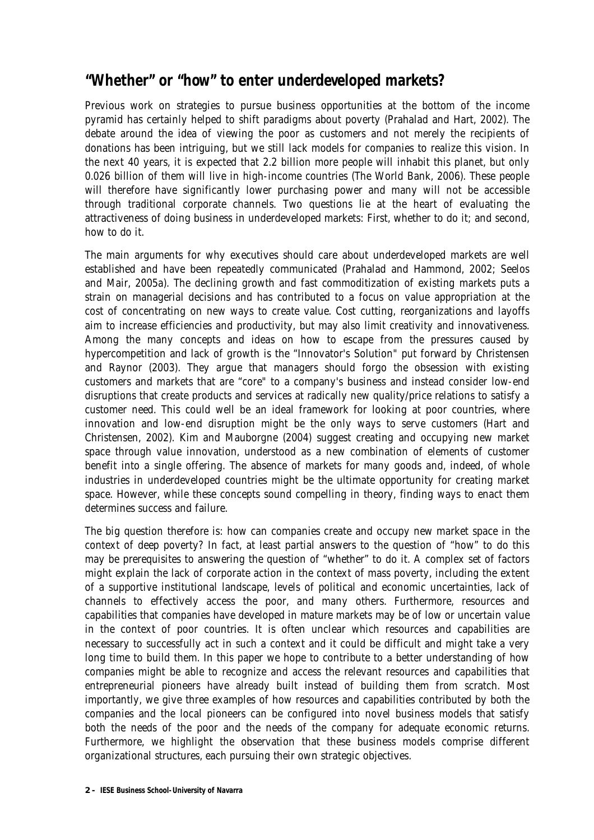## **"Whether" or "how" to enter underdeveloped markets?**

Previous work on strategies to pursue business opportunities at the bottom of the income pyramid has certainly helped to shift paradigms about poverty (Prahalad and Hart, 2002). The debate around the idea of viewing the poor as customers and not merely the recipients of donations has been intriguing, but we still lack models for companies to realize this vision. In the next 40 years, it is expected that 2.2 billion more people will inhabit this planet, but only 0.026 billion of them will live in high-income countries (The World Bank, 2006). These people will therefore have significantly lower purchasing power and many will not be accessible through traditional corporate channels. Two questions lie at the heart of evaluating the attractiveness of doing business in underdeveloped markets: First, whether to do it; and second, how to do it.

The main arguments for why executives should care about underdeveloped markets are well established and have been repeatedly communicated (Prahalad and Hammond, 2002; Seelos and Mair, 2005a). The declining growth and fast commoditization of existing markets puts a strain on managerial decisions and has contributed to a focus on value appropriation at the cost of concentrating on new ways to create value. Cost cutting, reorganizations and layoffs aim to increase efficiencies and productivity, but may also limit creativity and innovativeness. Among the many concepts and ideas on how to escape from the pressures caused by hypercompetition and lack of growth is the "Innovator's Solution" put forward by Christensen and Raynor (2003). They argue that managers should forgo the obsession with existing customers and markets that are "core" to a company's business and instead consider low-end disruptions that create products and services at radically new quality/price relations to satisfy a customer need. This could well be an ideal framework for looking at poor countries, where innovation and low-end disruption might be the only ways to serve customers (Hart and Christensen, 2002). Kim and Mauborgne (2004) suggest creating and occupying new market space through value innovation, understood as a new combination of elements of customer benefit into a single offering. The absence of markets for many goods and, indeed, of whole industries in underdeveloped countries might be the ultimate opportunity for creating market space. However, while these concepts sound compelling in theory, finding ways to enact them determines success and failure.

The big question therefore is: how can companies create and occupy new market space in the context of deep poverty? In fact, at least partial answers to the question of "how" to do this may be prerequisites to answering the question of "whether" to do it. A complex set of factors might explain the lack of corporate action in the context of mass poverty, including the extent of a supportive institutional landscape, levels of political and economic uncertainties, lack of channels to effectively access the poor, and many others. Furthermore, resources and capabilities that companies have developed in mature markets may be of low or uncertain value in the context of poor countries. It is often unclear which resources and capabilities are necessary to successfully act in such a context and it could be difficult and might take a very long time to build them. In this paper we hope to contribute to a better understanding of how companies might be able to recognize and access the relevant resources and capabilities that entrepreneurial pioneers have already built instead of building them from scratch. Most importantly, we give three examples of how resources and capabilities contributed by both the companies and the local pioneers can be configured into novel business models that satisfy both the needs of the poor and the needs of the company for adequate economic returns. Furthermore, we highlight the observation that these business models comprise different organizational structures, each pursuing their own strategic objectives.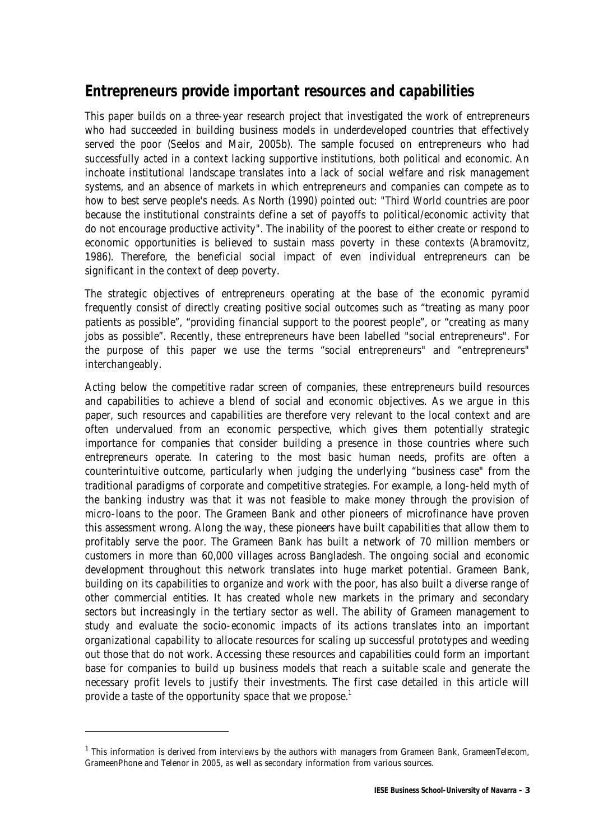# **Entrepreneurs provide important resources and capabilities**

This paper builds on a three-year research project that investigated the work of entrepreneurs who had succeeded in building business models in underdeveloped countries that effectively served the poor (Seelos and Mair, 2005b). The sample focused on entrepreneurs who had successfully acted in a context lacking supportive institutions, both political and economic. An inchoate institutional landscape translates into a lack of social welfare and risk management systems, and an absence of markets in which entrepreneurs and companies can compete as to how to best serve people's needs. As North (1990) pointed out: "Third World countries are poor because the institutional constraints define a set of payoffs to political/economic activity that do not encourage productive activity". The inability of the poorest to either create or respond to economic opportunities is believed to sustain mass poverty in these contexts (Abramovitz, 1986). Therefore, the beneficial social impact of even individual entrepreneurs can be significant in the context of deep poverty.

The strategic objectives of entrepreneurs operating at the base of the economic pyramid frequently consist of directly creating positive social outcomes such as "treating as many poor patients as possible", "providing financial support to the poorest people", or "creating as many jobs as possible". Recently, these entrepreneurs have been labelled "social entrepreneurs". For the purpose of this paper we use the terms "social entrepreneurs" and "entrepreneurs" interchangeably.

Acting below the competitive radar screen of companies, these entrepreneurs build resources and capabilities to achieve a blend of social and economic objectives. As we argue in this paper, such resources and capabilities are therefore very relevant to the local context and are often undervalued from an economic perspective, which gives them potentially strategic importance for companies that consider building a presence in those countries where such entrepreneurs operate. In catering to the most basic human needs, profits are often a counterintuitive outcome, particularly when judging the underlying "business case" from the traditional paradigms of corporate and competitive strategies. For example, a long-held myth of the banking industry was that it was not feasible to make money through the provision of micro-loans to the poor. The Grameen Bank and other pioneers of microfinance have proven this assessment wrong. Along the way, these pioneers have built capabilities that allow them to profitably serve the poor. The Grameen Bank has built a network of 70 million members or customers in more than 60,000 villages across Bangladesh. The ongoing social and economic development throughout this network translates into huge market potential. Grameen Bank, building on its capabilities to organize and work with the poor, has also built a diverse range of other commercial entities. It has created whole new markets in the primary and secondary sectors but increasingly in the tertiary sector as well. The ability of Grameen management to study and evaluate the socio-economic impacts of its actions translates into an important organizational capability to allocate resources for scaling up successful prototypes and weeding out those that do not work. Accessing these resources and capabilities could form an important base for companies to build up business models that reach a suitable scale and generate the necessary profit levels to justify their investments. The first case detailed in this article will provide a taste of the opportunity space that we propose.<sup>1</sup>

j

<sup>&</sup>lt;sup>1</sup> This information is derived from interviews by the authors with managers from Grameen Bank, GrameenTelecom, GrameenPhone and Telenor in 2005, as well as secondary information from various sources.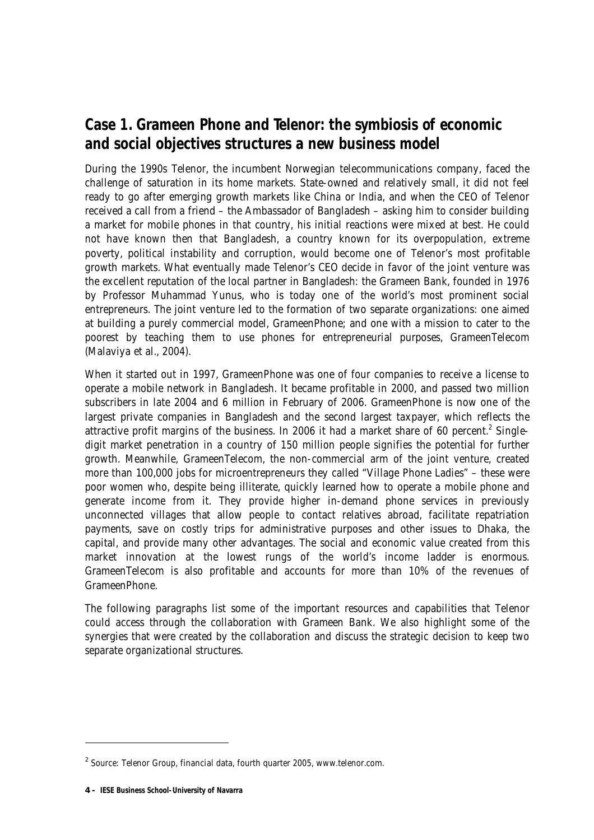# **Case 1. Grameen Phone and Telenor: the symbiosis of economic and social objectives structures a new business model**

During the 1990s Telenor, the incumbent Norwegian telecommunications company, faced the challenge of saturation in its home markets. State-owned and relatively small, it did not feel ready to go after emerging growth markets like China or India, and when the CEO of Telenor received a call from a friend – the Ambassador of Bangladesh – asking him to consider building a market for mobile phones in that country, his initial reactions were mixed at best. He could not have known then that Bangladesh, a country known for its overpopulation, extreme poverty, political instability and corruption, would become one of Telenor's most profitable growth markets. What eventually made Telenor's CEO decide in favor of the joint venture was the excellent reputation of the local partner in Bangladesh: the Grameen Bank, founded in 1976 by Professor Muhammad Yunus, who is today one of the world's most prominent social entrepreneurs. The joint venture led to the formation of two separate organizations: one aimed at building a purely commercial model, GrameenPhone; and one with a mission to cater to the poorest by teaching them to use phones for entrepreneurial purposes, GrameenTelecom (Malaviya et al., 2004).

When it started out in 1997, GrameenPhone was one of four companies to receive a license to operate a mobile network in Bangladesh. It became profitable in 2000, and passed two million subscribers in late 2004 and 6 million in February of 2006. GrameenPhone is now one of the largest private companies in Bangladesh and the second largest taxpayer, which reflects the attractive profit margins of the business. In 2006 it had a market share of 60 percent.<sup>2</sup> Singledigit market penetration in a country of 150 million people signifies the potential for further growth. Meanwhile, GrameenTelecom, the non-commercial arm of the joint venture, created more than 100,000 jobs for microentrepreneurs they called "Village Phone Ladies" – these were poor women who, despite being illiterate, quickly learned how to operate a mobile phone and generate income from it. They provide higher in-demand phone services in previously unconnected villages that allow people to contact relatives abroad, facilitate repatriation payments, save on costly trips for administrative purposes and other issues to Dhaka, the capital, and provide many other advantages. The social and economic value created from this market innovation at the lowest rungs of the world's income ladder is enormous. GrameenTelecom is also profitable and accounts for more than 10% of the revenues of GrameenPhone.

The following paragraphs list some of the important resources and capabilities that Telenor could access through the collaboration with Grameen Bank. We also highlight some of the synergies that were created by the collaboration and discuss the strategic decision to keep two separate organizational structures.

-

 $2$  Source: Telenor Group, financial data, fourth quarter 2005, www.telenor.com.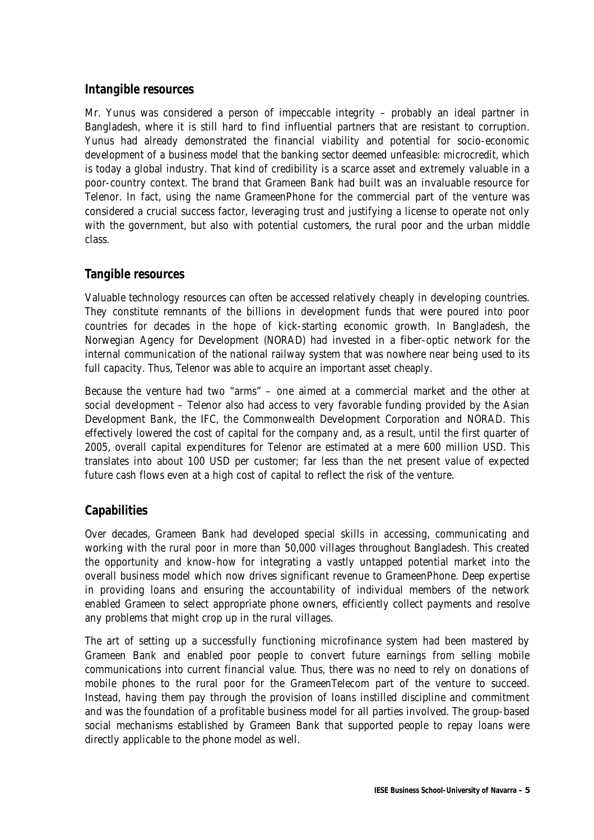#### **Intangible resources**

Mr. Yunus was considered a person of impeccable integrity – probably an ideal partner in Bangladesh, where it is still hard to find influential partners that are resistant to corruption. Yunus had already demonstrated the financial viability and potential for socio-economic development of a business model that the banking sector deemed unfeasible: microcredit, which is today a global industry. That kind of credibility is a scarce asset and extremely valuable in a poor-country context. The brand that Grameen Bank had built was an invaluable resource for Telenor. In fact, using the name GrameenPhone for the commercial part of the venture was considered a crucial success factor, leveraging trust and justifying a license to operate not only with the government, but also with potential customers, the rural poor and the urban middle class.

#### **Tangible resources**

Valuable technology resources can often be accessed relatively cheaply in developing countries. They constitute remnants of the billions in development funds that were poured into poor countries for decades in the hope of kick-starting economic growth. In Bangladesh, the Norwegian Agency for Development (NORAD) had invested in a fiber-optic network for the internal communication of the national railway system that was nowhere near being used to its full capacity. Thus, Telenor was able to acquire an important asset cheaply.

Because the venture had two "arms" – one aimed at a commercial market and the other at social development – Telenor also had access to very favorable funding provided by the Asian Development Bank, the IFC, the Commonwealth Development Corporation and NORAD. This effectively lowered the cost of capital for the company and, as a result, until the first quarter of 2005, overall capital expenditures for Telenor are estimated at a mere 600 million USD. This translates into about 100 USD per customer; far less than the net present value of expected future cash flows even at a high cost of capital to reflect the risk of the venture.

### **Capabilities**

Over decades, Grameen Bank had developed special skills in accessing, communicating and working with the rural poor in more than 50,000 villages throughout Bangladesh. This created the opportunity and know-how for integrating a vastly untapped potential market into the overall business model which now drives significant revenue to GrameenPhone. Deep expertise in providing loans and ensuring the accountability of individual members of the network enabled Grameen to select appropriate phone owners, efficiently collect payments and resolve any problems that might crop up in the rural villages.

The art of setting up a successfully functioning microfinance system had been mastered by Grameen Bank and enabled poor people to convert future earnings from selling mobile communications into current financial value. Thus, there was no need to rely on donations of mobile phones to the rural poor for the GrameenTelecom part of the venture to succeed. Instead, having them pay through the provision of loans instilled discipline and commitment and was the foundation of a profitable business model for all parties involved. The group-based social mechanisms established by Grameen Bank that supported people to repay loans were directly applicable to the phone model as well.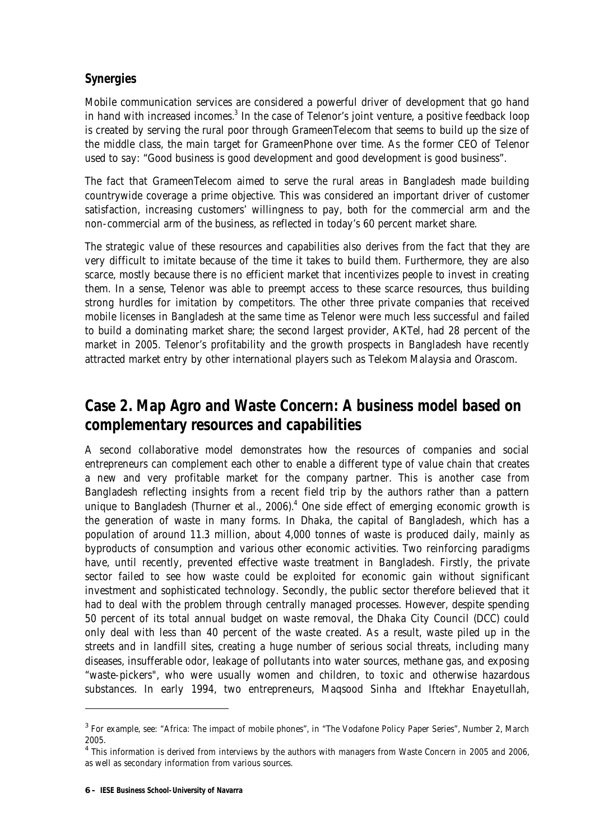### **Synergies**

Mobile communication services are considered a powerful driver of development that go hand in hand with increased incomes. $3$  In the case of Telenor's joint venture, a positive feedback loop is created by serving the rural poor through GrameenTelecom that seems to build up the size of the middle class, the main target for GrameenPhone over time. As the former CEO of Telenor used to say: "Good business is good development and good development is good business".

The fact that GrameenTelecom aimed to serve the rural areas in Bangladesh made building countrywide coverage a prime objective. This was considered an important driver of customer satisfaction, increasing customers' willingness to pay, both for the commercial arm and the non-commercial arm of the business, as reflected in today's 60 percent market share.

The strategic value of these resources and capabilities also derives from the fact that they are very difficult to imitate because of the time it takes to build them. Furthermore, they are also scarce, mostly because there is no efficient market that incentivizes people to invest in creating them. In a sense, Telenor was able to preempt access to these scarce resources, thus building strong hurdles for imitation by competitors. The other three private companies that received mobile licenses in Bangladesh at the same time as Telenor were much less successful and failed to build a dominating market share; the second largest provider, AKTel, had 28 percent of the market in 2005. Telenor's profitability and the growth prospects in Bangladesh have recently attracted market entry by other international players such as Telekom Malaysia and Orascom.

# **Case 2. Map Agro and Waste Concern: A business model based on complementary resources and capabilities**

A second collaborative model demonstrates how the resources of companies and social entrepreneurs can complement each other to enable a different type of value chain that creates a new and very profitable market for the company partner. This is another case from Bangladesh reflecting insights from a recent field trip by the authors rather than a pattern unique to Bangladesh (Thurner et al., 2006).<sup>4</sup> One side effect of emerging economic growth is the generation of waste in many forms. In Dhaka, the capital of Bangladesh, which has a population of around 11.3 million, about 4,000 tonnes of waste is produced daily, mainly as byproducts of consumption and various other economic activities. Two reinforcing paradigms have, until recently, prevented effective waste treatment in Bangladesh. Firstly, the private sector failed to see how waste could be exploited for economic gain without significant investment and sophisticated technology. Secondly, the public sector therefore believed that it had to deal with the problem through centrally managed processes. However, despite spending 50 percent of its total annual budget on waste removal, the Dhaka City Council (DCC) could only deal with less than 40 percent of the waste created. As a result, waste piled up in the streets and in landfill sites, creating a huge number of serious social threats, including many diseases, insufferable odor, leakage of pollutants into water sources, methane gas, and exposing "waste-pickers", who were usually women and children, to toxic and otherwise hazardous substances. In early 1994, two entrepreneurs, Maqsood Sinha and Iftekhar Enayetullah,

 $\overline{a}$ 

<sup>&</sup>lt;sup>3</sup> For example, see: "Africa: The impact of mobile phones", in "The Vodafone Policy Paper Series", Number 2, March 2005.

<sup>&</sup>lt;sup>4</sup> This information is derived from interviews by the authors with managers from Waste Concern in 2005 and 2006, as well as secondary information from various sources.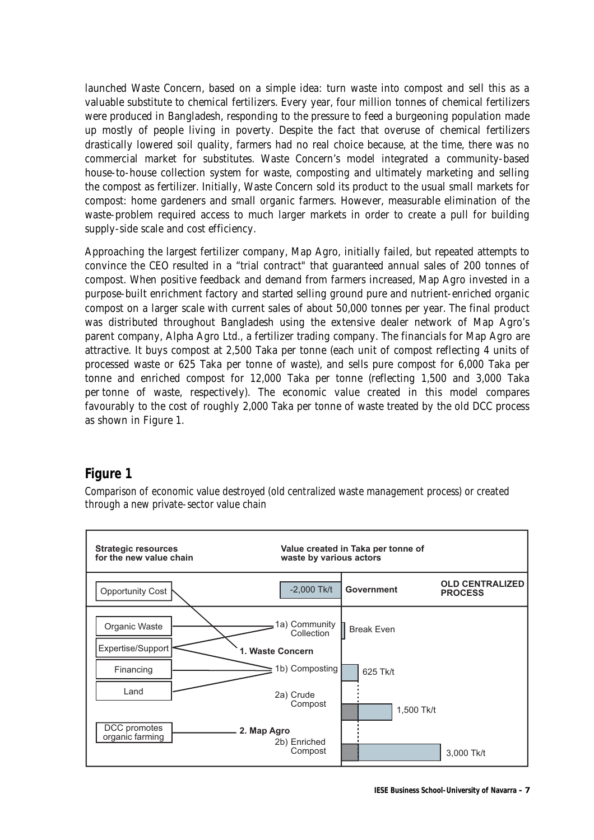launched Waste Concern, based on a simple idea: turn waste into compost and sell this as a valuable substitute to chemical fertilizers. Every year, four million tonnes of chemical fertilizers were produced in Bangladesh, responding to the pressure to feed a burgeoning population made up mostly of people living in poverty. Despite the fact that overuse of chemical fertilizers drastically lowered soil quality, farmers had no real choice because, at the time, there was no commercial market for substitutes. Waste Concern's model integrated a community-based house-to-house collection system for waste, composting and ultimately marketing and selling the compost as fertilizer. Initially, Waste Concern sold its product to the usual small markets for compost: home gardeners and small organic farmers. However, measurable elimination of the waste-problem required access to much larger markets in order to create a pull for building supply-side scale and cost efficiency.

Approaching the largest fertilizer company, Map Agro, initially failed, but repeated attempts to convince the CEO resulted in a "trial contract" that guaranteed annual sales of 200 tonnes of compost. When positive feedback and demand from farmers increased, Map Agro invested in a purpose-built enrichment factory and started selling ground pure and nutrient-enriched organic compost on a larger scale with current sales of about 50,000 tonnes per year. The final product was distributed throughout Bangladesh using the extensive dealer network of Map Agro's parent company, Alpha Agro Ltd., a fertilizer trading company. The financials for Map Agro are attractive. It buys compost at 2,500 Taka per tonne (each unit of compost reflecting 4 units of processed waste or 625 Taka per tonne of waste), and sells pure compost for 6,000 Taka per tonne and enriched compost for 12,000 Taka per tonne (reflecting 1,500 and 3,000 Taka per tonne of waste, respectively). The economic value created in this model compares favourably to the cost of roughly 2,000 Taka per tonne of waste treated by the old DCC process as shown in Figure 1.

### **Figure 1**

Comparison of economic value destroyed (old centralized waste management process) or created through a new private-sector value chain

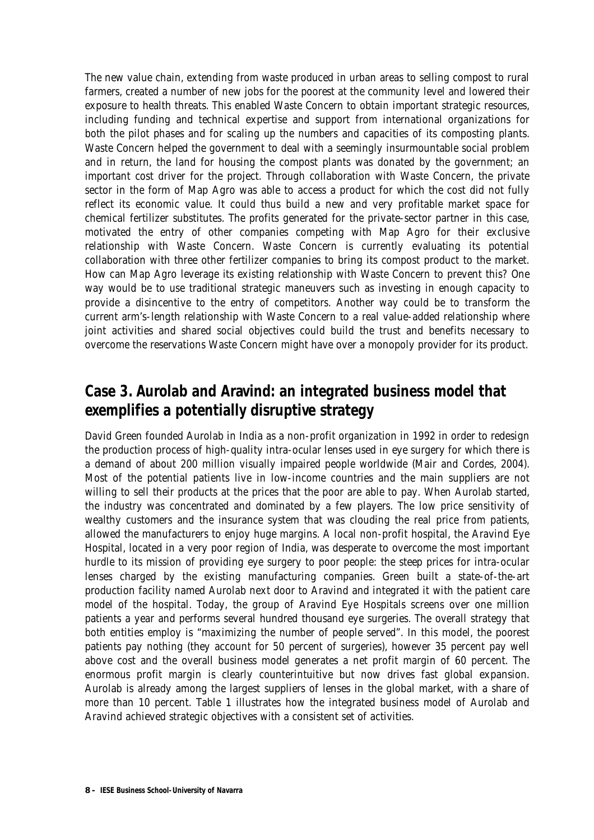The new value chain, extending from waste produced in urban areas to selling compost to rural farmers, created a number of new jobs for the poorest at the community level and lowered their exposure to health threats. This enabled Waste Concern to obtain important strategic resources, including funding and technical expertise and support from international organizations for both the pilot phases and for scaling up the numbers and capacities of its composting plants. Waste Concern helped the government to deal with a seemingly insurmountable social problem and in return, the land for housing the compost plants was donated by the government; an important cost driver for the project. Through collaboration with Waste Concern, the private sector in the form of Map Agro was able to access a product for which the cost did not fully reflect its economic value. It could thus build a new and very profitable market space for chemical fertilizer substitutes. The profits generated for the private-sector partner in this case, motivated the entry of other companies competing with Map Agro for their exclusive relationship with Waste Concern. Waste Concern is currently evaluating its potential collaboration with three other fertilizer companies to bring its compost product to the market. How can Map Agro leverage its existing relationship with Waste Concern to prevent this? One way would be to use traditional strategic maneuvers such as investing in enough capacity to provide a disincentive to the entry of competitors. Another way could be to transform the current arm's-length relationship with Waste Concern to a real value-added relationship where joint activities and shared social objectives could build the trust and benefits necessary to overcome the reservations Waste Concern might have over a monopoly provider for its product.

## **Case 3. Aurolab and Aravind: an integrated business model that exemplifies a potentially disruptive strategy**

David Green founded Aurolab in India as a non-profit organization in 1992 in order to redesign the production process of high-quality intra-ocular lenses used in eye surgery for which there is a demand of about 200 million visually impaired people worldwide (Mair and Cordes, 2004). Most of the potential patients live in low-income countries and the main suppliers are not willing to sell their products at the prices that the poor are able to pay. When Aurolab started, the industry was concentrated and dominated by a few players. The low price sensitivity of wealthy customers and the insurance system that was clouding the real price from patients, allowed the manufacturers to enjoy huge margins. A local non-profit hospital, the Aravind Eye Hospital, located in a very poor region of India, was desperate to overcome the most important hurdle to its mission of providing eye surgery to poor people: the steep prices for intra-ocular lenses charged by the existing manufacturing companies. Green built a state-of-the-art production facility named Aurolab next door to Aravind and integrated it with the patient care model of the hospital. Today, the group of Aravind Eye Hospitals screens over one million patients a year and performs several hundred thousand eye surgeries. The overall strategy that both entities employ is "maximizing the number of people served". In this model, the poorest patients pay nothing (they account for 50 percent of surgeries), however 35 percent pay well above cost and the overall business model generates a net profit margin of 60 percent. The enormous profit margin is clearly counterintuitive but now drives fast global expansion. Aurolab is already among the largest suppliers of lenses in the global market, with a share of more than 10 percent. Table 1 illustrates how the integrated business model of Aurolab and Aravind achieved strategic objectives with a consistent set of activities.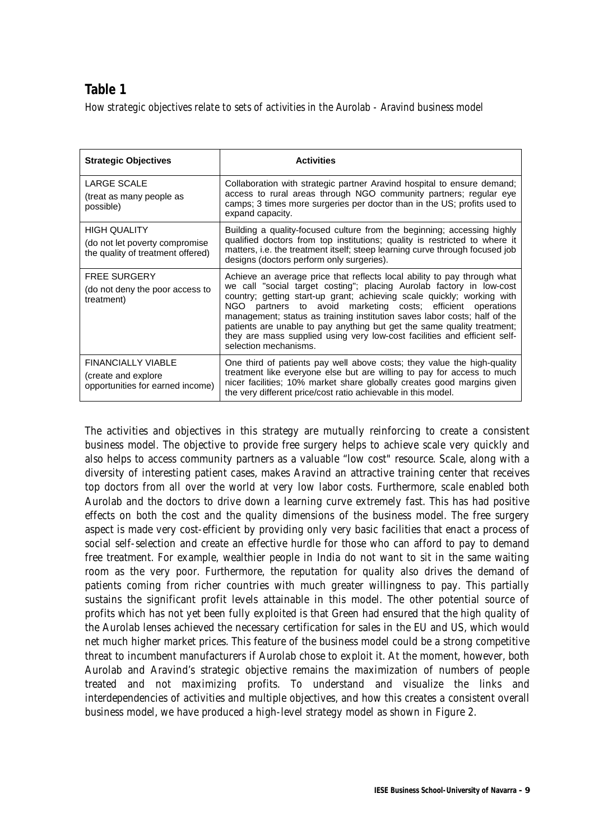### **Table 1**

How strategic objectives relate to sets of activities in the Aurolab - Aravind business model

| <b>Strategic Objectives</b>                                                                | <b>Activities</b>                                                                                                                                                                                                                                                                                                                                                                                                                                                                                                                                           |
|--------------------------------------------------------------------------------------------|-------------------------------------------------------------------------------------------------------------------------------------------------------------------------------------------------------------------------------------------------------------------------------------------------------------------------------------------------------------------------------------------------------------------------------------------------------------------------------------------------------------------------------------------------------------|
| <b>LARGE SCALE</b><br>(treat as many people as<br>possible)                                | Collaboration with strategic partner Aravind hospital to ensure demand;<br>access to rural areas through NGO community partners; regular eye<br>camps; 3 times more surgeries per doctor than in the US; profits used to<br>expand capacity.                                                                                                                                                                                                                                                                                                                |
| <b>HIGH QUALITY</b><br>(do not let poverty compromise<br>the quality of treatment offered) | Building a quality-focused culture from the beginning; accessing highly<br>qualified doctors from top institutions; quality is restricted to where it<br>matters, i.e. the treatment itself; steep learning curve through focused job<br>designs (doctors perform only surgeries).                                                                                                                                                                                                                                                                          |
| <b>FREE SURGERY</b><br>(do not deny the poor access to<br>treatment)                       | Achieve an average price that reflects local ability to pay through what<br>we call "social target costing"; placing Aurolab factory in low-cost<br>country; getting start-up grant; achieving scale quickly; working with<br>partners to avoid marketing costs; efficient operations<br>NGO.<br>management; status as training institution saves labor costs; half of the<br>patients are unable to pay anything but get the same quality treatment;<br>they are mass supplied using very low-cost facilities and efficient self-<br>selection mechanisms. |
| <b>FINANCIALLY VIABLE</b><br>(create and explore<br>opportunities for earned income)       | One third of patients pay well above costs; they value the high-quality<br>treatment like everyone else but are willing to pay for access to much<br>nicer facilities; 10% market share globally creates good margins given<br>the very different price/cost ratio achievable in this model.                                                                                                                                                                                                                                                                |

The activities and objectives in this strategy are mutually reinforcing to create a consistent business model. The objective to provide free surgery helps to achieve scale very quickly and also helps to access community partners as a valuable "low cost" resource. Scale, along with a diversity of interesting patient cases, makes Aravind an attractive training center that receives top doctors from all over the world at very low labor costs. Furthermore, scale enabled both Aurolab and the doctors to drive down a learning curve extremely fast. This has had positive effects on both the cost and the quality dimensions of the business model. The free surgery aspect is made very cost-efficient by providing only very basic facilities that enact a process of social self-selection and create an effective hurdle for those who can afford to pay to demand free treatment. For example, wealthier people in India do not want to sit in the same waiting room as the very poor. Furthermore, the reputation for quality also drives the demand of patients coming from richer countries with much greater willingness to pay. This partially sustains the significant profit levels attainable in this model. The other potential source of profits which has not yet been fully exploited is that Green had ensured that the high quality of the Aurolab lenses achieved the necessary certification for sales in the EU and US, which would net much higher market prices. This feature of the business model could be a strong competitive threat to incumbent manufacturers if Aurolab chose to exploit it. At the moment, however, both Aurolab and Aravind's strategic objective remains the maximization of numbers of people treated and not maximizing profits. To understand and visualize the links and interdependencies of activities and multiple objectives, and how this creates a consistent overall business model, we have produced a high-level strategy model as shown in Figure 2.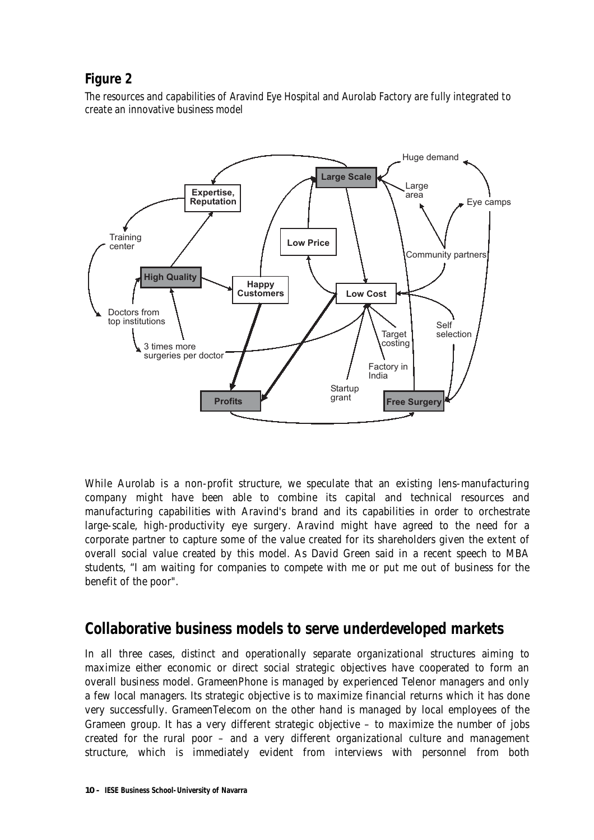### **Figure 2**

The resources and capabilities of Aravind Eye Hospital and Aurolab Factory are fully integrated to create an innovative business model



While Aurolab is a non-profit structure, we speculate that an existing lens-manufacturing company might have been able to combine its capital and technical resources and manufacturing capabilities with Aravind's brand and its capabilities in order to orchestrate large-scale, high-productivity eye surgery. Aravind might have agreed to the need for a corporate partner to capture some of the value created for its shareholders given the extent of overall social value created by this model. As David Green said in a recent speech to MBA students, "I am waiting for companies to compete with me or put me out of business for the benefit of the poor".

### **Collaborative business models to serve underdeveloped markets**

In all three cases, distinct and operationally separate organizational structures aiming to maximize either economic or direct social strategic objectives have cooperated to form an overall business model. GrameenPhone is managed by experienced Telenor managers and only a few local managers. Its strategic objective is to maximize financial returns which it has done very successfully. GrameenTelecom on the other hand is managed by local employees of the Grameen group. It has a very different strategic objective – to maximize the number of jobs created for the rural poor – and a very different organizational culture and management structure, which is immediately evident from interviews with personnel from both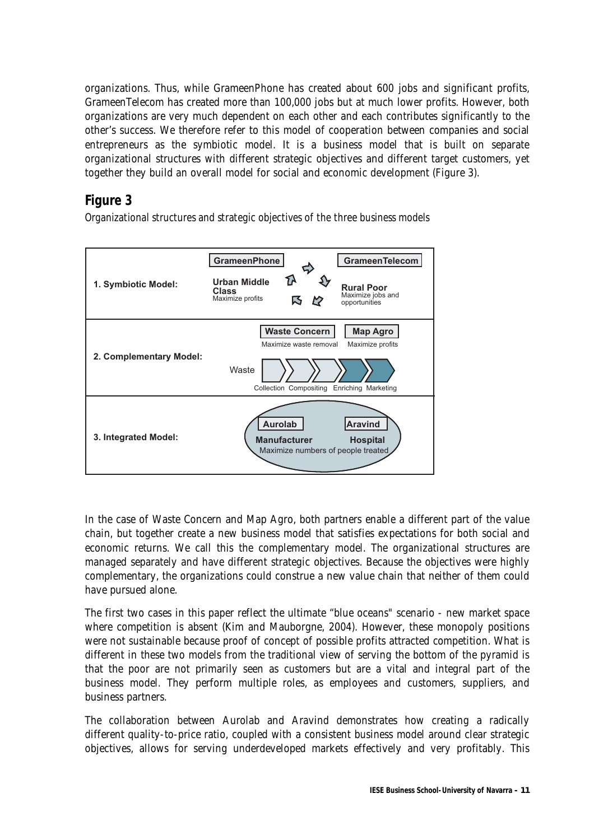organizations. Thus, while GrameenPhone has created about 600 jobs and significant profits, GrameenTelecom has created more than 100,000 jobs but at much lower profits. However, both organizations are very much dependent on each other and each contributes significantly to the other's success. We therefore refer to this model of cooperation between companies and social entrepreneurs as the symbiotic model. It is a business model that is built on separate organizational structures with different strategic objectives and different target customers, yet together they build an overall model for social and economic development (Figure 3).

### **Figure 3**

Organizational structures and strategic objectives of the three business models



In the case of Waste Concern and Map Agro, both partners enable a different part of the value chain, but together create a new business model that satisfies expectations for both social and economic returns. We call this the complementary model. The organizational structures are managed separately and have different strategic objectives. Because the objectives were highly complementary, the organizations could construe a new value chain that neither of them could have pursued alone.

The first two cases in this paper reflect the ultimate "blue oceans" scenario - new market space where competition is absent (Kim and Mauborgne, 2004). However, these monopoly positions were not sustainable because proof of concept of possible profits attracted competition. What is different in these two models from the traditional view of serving the bottom of the pyramid is that the poor are not primarily seen as customers but are a vital and integral part of the business model. They perform multiple roles, as employees and customers, suppliers, and business partners.

The collaboration between Aurolab and Aravind demonstrates how creating a radically different quality-to-price ratio, coupled with a consistent business model around clear strategic objectives, allows for serving underdeveloped markets effectively and very profitably. This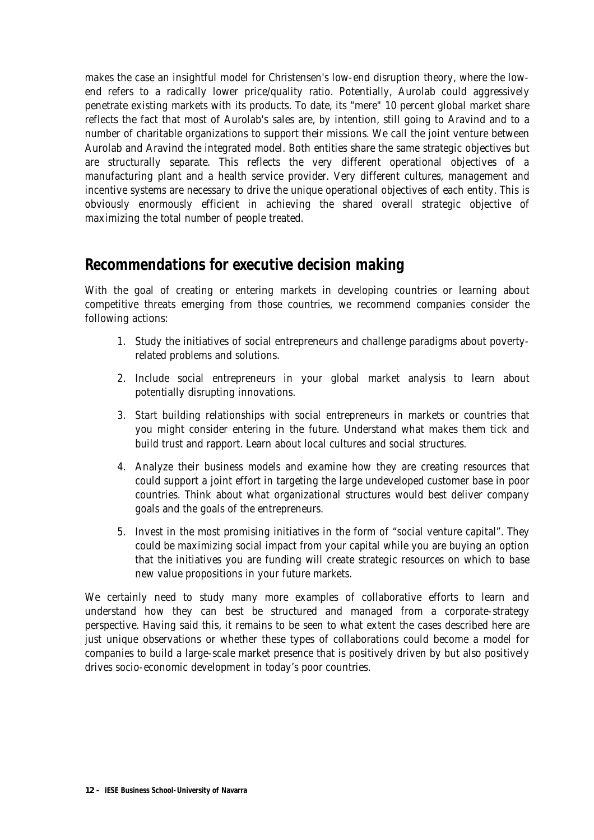makes the case an insightful model for Christensen's low-end disruption theory, where the lowend refers to a radically lower price/quality ratio. Potentially, Aurolab could aggressively penetrate existing markets with its products. To date, its "mere" 10 percent global market share reflects the fact that most of Aurolab's sales are, by intention, still going to Aravind and to a number of charitable organizations to support their missions. We call the joint venture between Aurolab and Aravind the integrated model. Both entities share the same strategic objectives but are structurally separate. This reflects the very different operational objectives of a manufacturing plant and a health service provider. Very different cultures, management and incentive systems are necessary to drive the unique operational objectives of each entity. This is obviously enormously efficient in achieving the shared overall strategic objective of maximizing the total number of people treated.

### **Recommendations for executive decision making**

With the goal of creating or entering markets in developing countries or learning about competitive threats emerging from those countries, we recommend companies consider the following actions:

- 1. Study the initiatives of social entrepreneurs and challenge paradigms about povertyrelated problems and solutions.
- 2. Include social entrepreneurs in your global market analysis to learn about potentially disrupting innovations.
- 3. Start building relationships with social entrepreneurs in markets or countries that you might consider entering in the future. Understand what makes them tick and build trust and rapport. Learn about local cultures and social structures.
- 4. Analyze their business models and examine how they are creating resources that could support a joint effort in targeting the large undeveloped customer base in poor countries. Think about what organizational structures would best deliver company goals and the goals of the entrepreneurs.
- 5. Invest in the most promising initiatives in the form of "social venture capital". They could be maximizing social impact from your capital while you are buying an option that the initiatives you are funding will create strategic resources on which to base new value propositions in your future markets.

We certainly need to study many more examples of collaborative efforts to learn and understand how they can best be structured and managed from a corporate-strategy perspective. Having said this, it remains to be seen to what extent the cases described here are just unique observations or whether these types of collaborations could become a model for companies to build a large-scale market presence that is positively driven by but also positively drives socio-economic development in today's poor countries.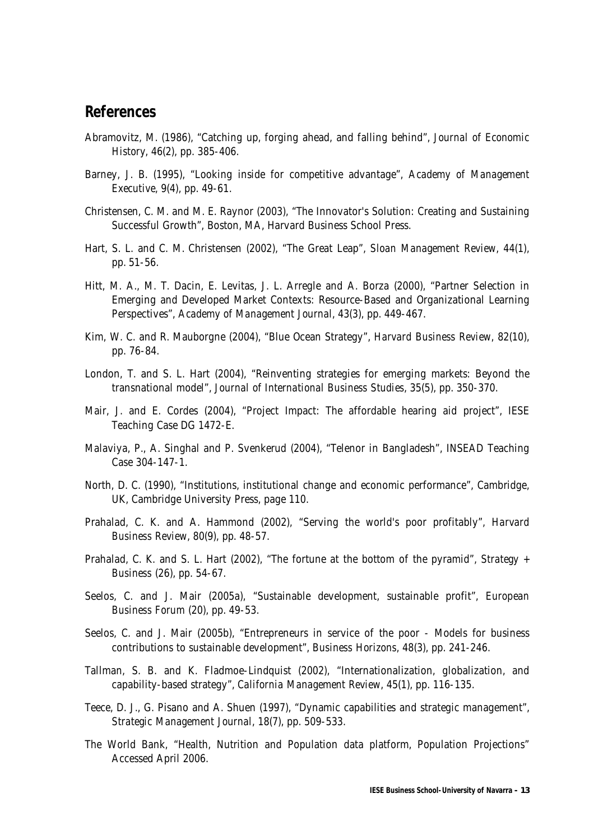#### **References**

- Abramovitz, M. (1986), "Catching up, forging ahead, and falling behind", *Journal of Economic History*, 46(2), pp. 385-406.
- Barney, J. B. (1995), "Looking inside for competitive advantage", *Academy of Management Executive*, 9(4), pp. 49-61.
- Christensen, C. M. and M. E. Raynor (2003), "The Innovator's Solution: Creating and Sustaining Successful Growth", Boston, MA, Harvard Business School Press.
- Hart, S. L. and C. M. Christensen (2002), "The Great Leap", *Sloan Management Review*, 44(1), pp. 51-56.
- Hitt, M. A., M. T. Dacin, E. Levitas, J. L. Arregle and A. Borza (2000), "Partner Selection in Emerging and Developed Market Contexts: Resource-Based and Organizational Learning Perspectives", *Academy of Management Journal*, 43(3), pp. 449-467.
- Kim, W. C. and R. Mauborgne (2004), "Blue Ocean Strategy", *Harvard Business Review*, 82(10), pp. 76-84.
- London, T. and S. L. Hart (2004), "Reinventing strategies for emerging markets: Beyond the transnational model", *Journal of International Business Studies*, 35(5), pp. 350-370.
- Mair, J. and E. Cordes (2004), "Project Impact: The affordable hearing aid project", IESE Teaching Case DG 1472-E.
- Malaviya, P., A. Singhal and P. Svenkerud (2004), "Telenor in Bangladesh", INSEAD Teaching Case 304-147-1.
- North, D. C. (1990), "Institutions, institutional change and economic performance", Cambridge, UK, Cambridge University Press, page 110.
- Prahalad, C. K. and A. Hammond (2002), "Serving the world's poor profitably", *Harvard Business Review*, 80(9), pp. 48-57.
- Prahalad, C. K. and S. L. Hart (2002), "The fortune at the bottom of the pyramid", *Strategy + Business* (26), pp. 54-67.
- Seelos, C. and J. Mair (2005a), "Sustainable development, sustainable profit", *European Business Forum* (20), pp. 49-53.
- Seelos, C. and J. Mair (2005b), "Entrepreneurs in service of the poor Models for business contributions to sustainable development", *Business Horizons*, 48(3), pp. 241-246.
- Tallman, S. B. and K. Fladmoe-Lindquist (2002), "Internationalization, globalization, and capability-based strategy", *California Management Review*, 45(1), pp. 116-135.
- Teece, D. J., G. Pisano and A. Shuen (1997), "Dynamic capabilities and strategic management", *Strategic Management Journal*, 18(7), pp. 509-533.
- The World Bank, "Health, Nutrition and Population data platform, Population Projections" Accessed April 2006.